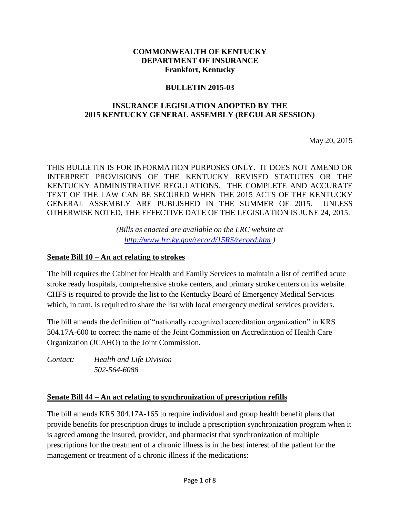#### **COMMONWEALTH OF KENTUCKY DEPARTMENT OF INSURANCE Frankfort, Kentucky**

#### **BULLETIN 2015-03**

### **INSURANCE LEGISLATION ADOPTED BY THE 2015 KENTUCKY GENERAL ASSEMBLY (REGULAR SESSION)**

May 20, 2015

THIS BULLETIN IS FOR INFORMATION PURPOSES ONLY. IT DOES NOT AMEND OR INTERPRET PROVISIONS OF THE KENTUCKY REVISED STATUTES OR THE KENTUCKY ADMINISTRATIVE REGULATIONS. THE COMPLETE AND ACCURATE TEXT OF THE LAW CAN BE SECURED WHEN THE 2015 ACTS OF THE KENTUCKY GENERAL ASSEMBLY ARE PUBLISHED IN THE SUMMER OF 2015. UNLESS OTHERWISE NOTED, THE EFFECTIVE DATE OF THE LEGISLATION IS JUNE 24, 2015.

> *(Bills as enacted are available on the LRC website at <http://www.lrc.ky.gov/record/15RS/record.htm> )*

#### **Senate Bill 10 – An act relating to strokes**

The bill requires the Cabinet for Health and Family Services to maintain a list of certified acute stroke ready hospitals, comprehensive stroke centers, and primary stroke centers on its website. CHFS is required to provide the list to the Kentucky Board of Emergency Medical Services which, in turn, is required to share the list with local emergency medical services providers.

The bill amends the definition of "nationally recognized accreditation organization" in KRS 304.17A-600 to correct the name of the Joint Commission on Accreditation of Health Care Organization (JCAHO) to the Joint Commission.

*Contact: Health and Life Division 502-564-6088*

#### **Senate Bill 44 – An act relating to synchronization of prescription refills**

The bill amends KRS 304.17A-165 to require individual and group health benefit plans that provide benefits for prescription drugs to include a prescription synchronization program when it is agreed among the insured, provider, and pharmacist that synchronization of multiple prescriptions for the treatment of a chronic illness is in the best interest of the patient for the management or treatment of a chronic illness if the medications: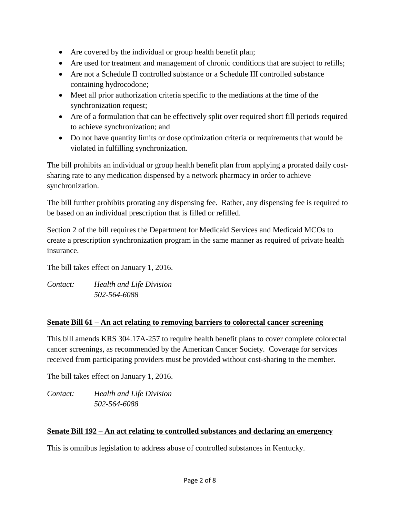- Are covered by the individual or group health benefit plan;
- Are used for treatment and management of chronic conditions that are subject to refills;
- Are not a Schedule II controlled substance or a Schedule III controlled substance containing hydrocodone;
- Meet all prior authorization criteria specific to the mediations at the time of the synchronization request;
- Are of a formulation that can be effectively split over required short fill periods required to achieve synchronization; and
- Do not have quantity limits or dose optimization criteria or requirements that would be violated in fulfilling synchronization.

The bill prohibits an individual or group health benefit plan from applying a prorated daily costsharing rate to any medication dispensed by a network pharmacy in order to achieve synchronization.

The bill further prohibits prorating any dispensing fee. Rather, any dispensing fee is required to be based on an individual prescription that is filled or refilled.

Section 2 of the bill requires the Department for Medicaid Services and Medicaid MCOs to create a prescription synchronization program in the same manner as required of private health insurance.

The bill takes effect on January 1, 2016.

*Contact: Health and Life Division 502-564-6088*

## **Senate Bill 61 – An act relating to removing barriers to colorectal cancer screening**

This bill amends KRS 304.17A-257 to require health benefit plans to cover complete colorectal cancer screenings, as recommended by the American Cancer Society. Coverage for services received from participating providers must be provided without cost-sharing to the member.

The bill takes effect on January 1, 2016.

*Contact: Health and Life Division 502-564-6088*

#### **Senate Bill 192 – An act relating to controlled substances and declaring an emergency**

This is omnibus legislation to address abuse of controlled substances in Kentucky.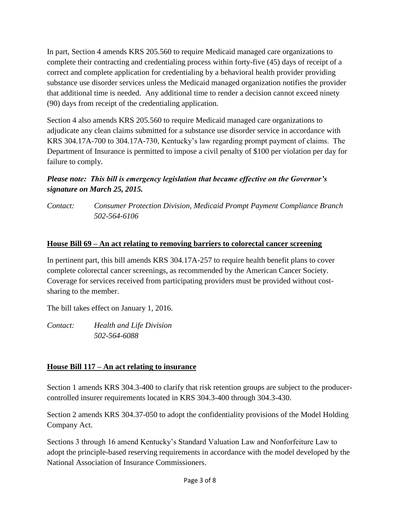In part, Section 4 amends KRS 205.560 to require Medicaid managed care organizations to complete their contracting and credentialing process within forty-five (45) days of receipt of a correct and complete application for credentialing by a behavioral health provider providing substance use disorder services unless the Medicaid managed organization notifies the provider that additional time is needed. Any additional time to render a decision cannot exceed ninety (90) days from receipt of the credentialing application.

Section 4 also amends KRS 205.560 to require Medicaid managed care organizations to adjudicate any clean claims submitted for a substance use disorder service in accordance with KRS 304.17A-700 to 304.17A-730, Kentucky's law regarding prompt payment of claims. The Department of Insurance is permitted to impose a civil penalty of \$100 per violation per day for failure to comply.

# *Please note: This bill is emergency legislation that became effective on the Governor's signature on March 25, 2015.*

*Contact: Consumer Protection Division, Medicaid Prompt Payment Compliance Branch 502-564-6106*

### **House Bill 69 – An act relating to removing barriers to colorectal cancer screening**

In pertinent part, this bill amends KRS 304.17A-257 to require health benefit plans to cover complete colorectal cancer screenings, as recommended by the American Cancer Society. Coverage for services received from participating providers must be provided without costsharing to the member.

The bill takes effect on January 1, 2016.

*Contact: Health and Life Division 502-564-6088*

## **House Bill 117 – An act relating to insurance**

Section 1 amends KRS 304.3-400 to clarify that risk retention groups are subject to the producercontrolled insurer requirements located in KRS 304.3-400 through 304.3-430.

Section 2 amends KRS 304.37-050 to adopt the confidentiality provisions of the Model Holding Company Act.

Sections 3 through 16 amend Kentucky's Standard Valuation Law and Nonforfeiture Law to adopt the principle-based reserving requirements in accordance with the model developed by the National Association of Insurance Commissioners.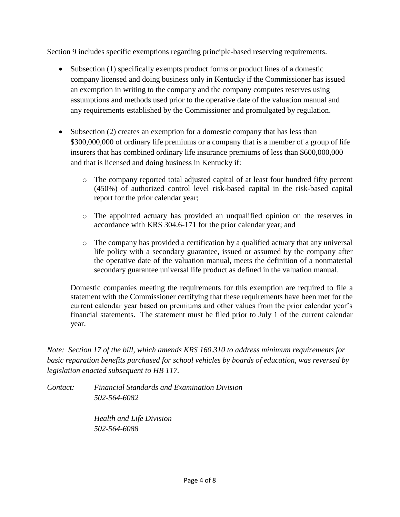Section 9 includes specific exemptions regarding principle-based reserving requirements.

- Subsection (1) specifically exempts product forms or product lines of a domestic company licensed and doing business only in Kentucky if the Commissioner has issued an exemption in writing to the company and the company computes reserves using assumptions and methods used prior to the operative date of the valuation manual and any requirements established by the Commissioner and promulgated by regulation.
- Subsection (2) creates an exemption for a domestic company that has less than \$300,000,000 of ordinary life premiums or a company that is a member of a group of life insurers that has combined ordinary life insurance premiums of less than \$600,000,000 and that is licensed and doing business in Kentucky if:
	- o The company reported total adjusted capital of at least four hundred fifty percent (450%) of authorized control level risk-based capital in the risk-based capital report for the prior calendar year;
	- o The appointed actuary has provided an unqualified opinion on the reserves in accordance with KRS 304.6-171 for the prior calendar year; and
	- $\circ$  The company has provided a certification by a qualified actuary that any universal life policy with a secondary guarantee, issued or assumed by the company after the operative date of the valuation manual, meets the definition of a nonmaterial secondary guarantee universal life product as defined in the valuation manual.

Domestic companies meeting the requirements for this exemption are required to file a statement with the Commissioner certifying that these requirements have been met for the current calendar year based on premiums and other values from the prior calendar year's financial statements. The statement must be filed prior to July 1 of the current calendar year.

*Note: Section 17 of the bill, which amends KRS 160.310 to address minimum requirements for basic reparation benefits purchased for school vehicles by boards of education, was reversed by legislation enacted subsequent to HB 117.*

*Contact: Financial Standards and Examination Division 502-564-6082*

> *Health and Life Division 502-564-6088*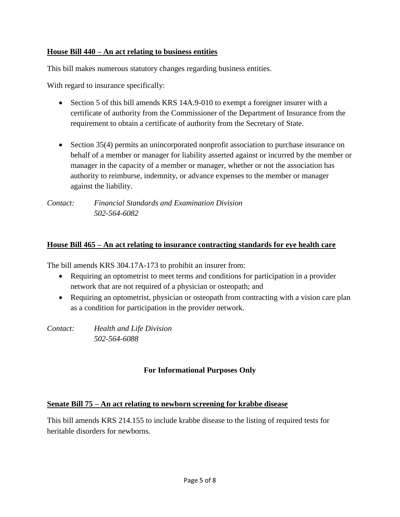### **House Bill 440 – An act relating to business entities**

This bill makes numerous statutory changes regarding business entities.

With regard to insurance specifically:

- Section 5 of this bill amends KRS 14A.9-010 to exempt a foreigner insurer with a certificate of authority from the Commissioner of the Department of Insurance from the requirement to obtain a certificate of authority from the Secretary of State.
- Section 35(4) permits an unincorporated nonprofit association to purchase insurance on behalf of a member or manager for liability asserted against or incurred by the member or manager in the capacity of a member or manager, whether or not the association has authority to reimburse, indemnity, or advance expenses to the member or manager against the liability.

*Contact: Financial Standards and Examination Division 502-564-6082*

### **House Bill 465 – An act relating to insurance contracting standards for eye health care**

The bill amends KRS 304.17A-173 to prohibit an insurer from:

- Requiring an optometrist to meet terms and conditions for participation in a provider network that are not required of a physician or osteopath; and
- Requiring an optometrist, physician or osteopath from contracting with a vision care plan as a condition for participation in the provider network.

*Contact: Health and Life Division 502-564-6088*

## **For Informational Purposes Only**

#### **Senate Bill 75 – An act relating to newborn screening for krabbe disease**

This bill amends KRS 214.155 to include krabbe disease to the listing of required tests for heritable disorders for newborns.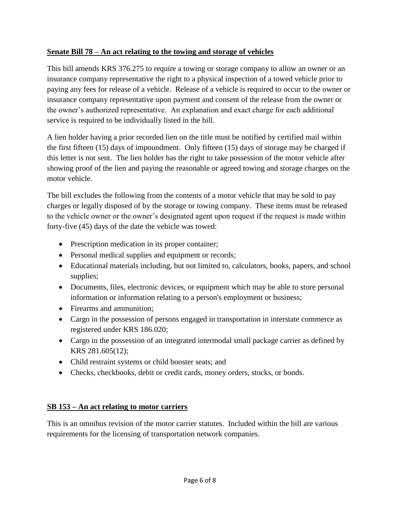# **Senate Bill 78 – An act relating to the towing and storage of vehicles**

This bill amends KRS 376.275 to require a towing or storage company to allow an owner or an insurance company representative the right to a physical inspection of a towed vehicle prior to paying any fees for release of a vehicle. Release of a vehicle is required to occur to the owner or insurance company representative upon payment and consent of the release from the owner or the owner's authorized representative. An explanation and exact charge for each additional service is required to be individually listed in the bill.

A lien holder having a prior recorded lien on the title must be notified by certified mail within the first fifteen (15) days of impoundment. Only fifteen (15) days of storage may be charged if this letter is not sent. The lien holder has the right to take possession of the motor vehicle after showing proof of the lien and paying the reasonable or agreed towing and storage charges on the motor vehicle.

The bill excludes the following from the contents of a motor vehicle that may be sold to pay charges or legally disposed of by the storage or towing company. These items must be released to the vehicle owner or the owner's designated agent upon request if the request is made within forty-five (45) days of the date the vehicle was towed:

- Prescription medication in its proper container;
- Personal medical supplies and equipment or records;
- Educational materials including, but not limited to, calculators, books, papers, and school supplies;
- Documents, files, electronic devices, or equipment which may be able to store personal information or information relating to a person's employment or business;
- Firearms and ammunition:
- Cargo in the possession of persons engaged in transportation in interstate commerce as registered under KRS 186.020;
- Cargo in the possession of an integrated intermodal small package carrier as defined by KRS 281.605(12);
- Child restraint systems or child booster seats; and
- Checks, checkbooks, debit or credit cards, money orders, stocks, or bonds.

# **SB 153 – An act relating to motor carriers**

This is an omnibus revision of the motor carrier statutes. Included within the bill are various requirements for the licensing of transportation network companies.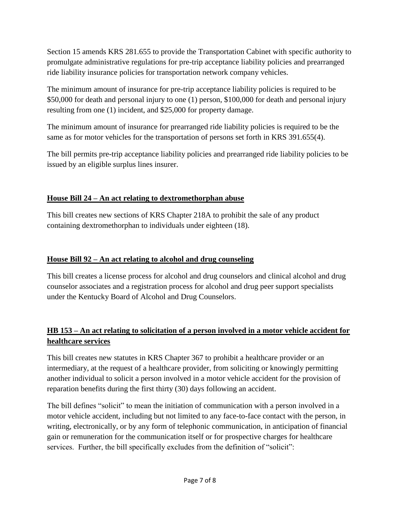Section 15 amends KRS 281.655 to provide the Transportation Cabinet with specific authority to promulgate administrative regulations for pre-trip acceptance liability policies and prearranged ride liability insurance policies for transportation network company vehicles.

The minimum amount of insurance for pre-trip acceptance liability policies is required to be \$50,000 for death and personal injury to one (1) person, \$100,000 for death and personal injury resulting from one (1) incident, and \$25,000 for property damage.

The minimum amount of insurance for prearranged ride liability policies is required to be the same as for motor vehicles for the transportation of persons set forth in KRS 391.655(4).

The bill permits pre-trip acceptance liability policies and prearranged ride liability policies to be issued by an eligible surplus lines insurer.

# **House Bill 24 – An act relating to dextromethorphan abuse**

This bill creates new sections of KRS Chapter 218A to prohibit the sale of any product containing dextromethorphan to individuals under eighteen (18).

# **House Bill 92 – An act relating to alcohol and drug counseling**

This bill creates a license process for alcohol and drug counselors and clinical alcohol and drug counselor associates and a registration process for alcohol and drug peer support specialists under the Kentucky Board of Alcohol and Drug Counselors.

# **HB 153 – An act relating to solicitation of a person involved in a motor vehicle accident for healthcare services**

This bill creates new statutes in KRS Chapter 367 to prohibit a healthcare provider or an intermediary, at the request of a healthcare provider, from soliciting or knowingly permitting another individual to solicit a person involved in a motor vehicle accident for the provision of reparation benefits during the first thirty (30) days following an accident.

The bill defines "solicit" to mean the initiation of communication with a person involved in a motor vehicle accident, including but not limited to any face-to-face contact with the person, in writing, electronically, or by any form of telephonic communication, in anticipation of financial gain or remuneration for the communication itself or for prospective charges for healthcare services. Further, the bill specifically excludes from the definition of "solicit":